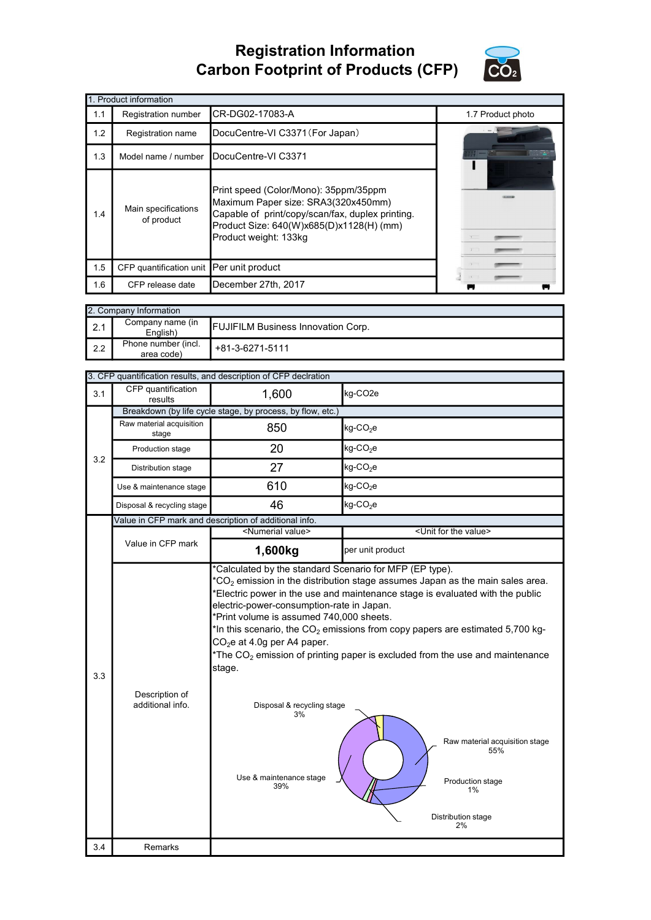## Registration Information Carbon Footprint of Products (CFP)



|     | 1. Product information                   |                                                                                                                                                                                                       |                   |  |  |  |
|-----|------------------------------------------|-------------------------------------------------------------------------------------------------------------------------------------------------------------------------------------------------------|-------------------|--|--|--|
| 1.1 | Registration number                      | CR-DG02-17083-A                                                                                                                                                                                       | 1.7 Product photo |  |  |  |
| 1.2 | Registration name                        | DocuCentre-VI C3371 (For Japan)                                                                                                                                                                       |                   |  |  |  |
| 1.3 |                                          | Model name / number DocuCentre-VI C3371                                                                                                                                                               |                   |  |  |  |
| 1.4 | Main specifications<br>of product        | Print speed (Color/Mono): 35ppm/35ppm<br>Maximum Paper size: SRA3(320x450mm)<br>Capable of print/copy/scan/fax, duplex printing.<br>Product Size: 640(W)x685(D)x1128(H) (mm)<br>Product weight: 133kg |                   |  |  |  |
| 1.5 | CFP quantification unit Per unit product |                                                                                                                                                                                                       |                   |  |  |  |
| 1.6 | CFP release date                         | December 27th, 2017                                                                                                                                                                                   |                   |  |  |  |

|                  | 2. Company Information                                                    |                 |  |  |  |
|------------------|---------------------------------------------------------------------------|-----------------|--|--|--|
| $\mathsf{I}$ 2.1 | Company name (in<br><b>FUJIFILM Business Innovation Corp.</b><br>English) |                 |  |  |  |
| $\mathsf{I}$ 2.2 | Phone number (incl.<br>area code)                                         | +81-3-6271-5111 |  |  |  |

|     | 3. CFP quantification results, and description of CFP declration |                                                                                                                                                                                                                  |                                                                                                                                                                                                                                                                                                                                                  |  |  |
|-----|------------------------------------------------------------------|------------------------------------------------------------------------------------------------------------------------------------------------------------------------------------------------------------------|--------------------------------------------------------------------------------------------------------------------------------------------------------------------------------------------------------------------------------------------------------------------------------------------------------------------------------------------------|--|--|
| 3.1 | CFP quantification<br>results                                    | 1,600<br>kg-CO <sub>2e</sub>                                                                                                                                                                                     |                                                                                                                                                                                                                                                                                                                                                  |  |  |
|     |                                                                  | Breakdown (by life cycle stage, by process, by flow, etc.)                                                                                                                                                       |                                                                                                                                                                                                                                                                                                                                                  |  |  |
|     | Raw material acquisition<br>stage                                | 850                                                                                                                                                                                                              | $kg$ -CO <sub>2</sub> e                                                                                                                                                                                                                                                                                                                          |  |  |
| 3.2 | Production stage                                                 | 20                                                                                                                                                                                                               | $kg$ -CO <sub>2</sub> e                                                                                                                                                                                                                                                                                                                          |  |  |
|     | Distribution stage                                               | 27                                                                                                                                                                                                               | $kg$ -CO <sub>2</sub> e                                                                                                                                                                                                                                                                                                                          |  |  |
|     | Use & maintenance stage                                          | 610                                                                                                                                                                                                              | $kg$ -CO <sub>2</sub> e                                                                                                                                                                                                                                                                                                                          |  |  |
|     | Disposal & recycling stage                                       | 46                                                                                                                                                                                                               | $kg$ -CO <sub>2</sub> e                                                                                                                                                                                                                                                                                                                          |  |  |
|     |                                                                  | Value in CFP mark and description of additional info.                                                                                                                                                            |                                                                                                                                                                                                                                                                                                                                                  |  |  |
|     |                                                                  | <numerial value=""></numerial>                                                                                                                                                                                   | <unit for="" the="" value=""></unit>                                                                                                                                                                                                                                                                                                             |  |  |
|     | Value in CFP mark                                                | 1,600kg                                                                                                                                                                                                          | per unit product                                                                                                                                                                                                                                                                                                                                 |  |  |
| 3.3 | Description of<br>additional info.                               | electric-power-consumption-rate in Japan.<br>*Print volume is assumed 740,000 sheets.<br>CO <sub>2</sub> e at 4.0g per A4 paper.<br>stage.<br>Disposal & recycling stage<br>3%<br>Use & maintenance stage<br>39% | Electric power in the use and maintenance stage is evaluated with the public<br>*In this scenario, the $CO2$ emissions from copy papers are estimated 5,700 kg-<br>*The $CO2$ emission of printing paper is excluded from the use and maintenance<br>Raw material acquisition stage<br>55%<br>Production stage<br>1%<br>Distribution stage<br>2% |  |  |
| 3.4 | Remarks                                                          |                                                                                                                                                                                                                  |                                                                                                                                                                                                                                                                                                                                                  |  |  |